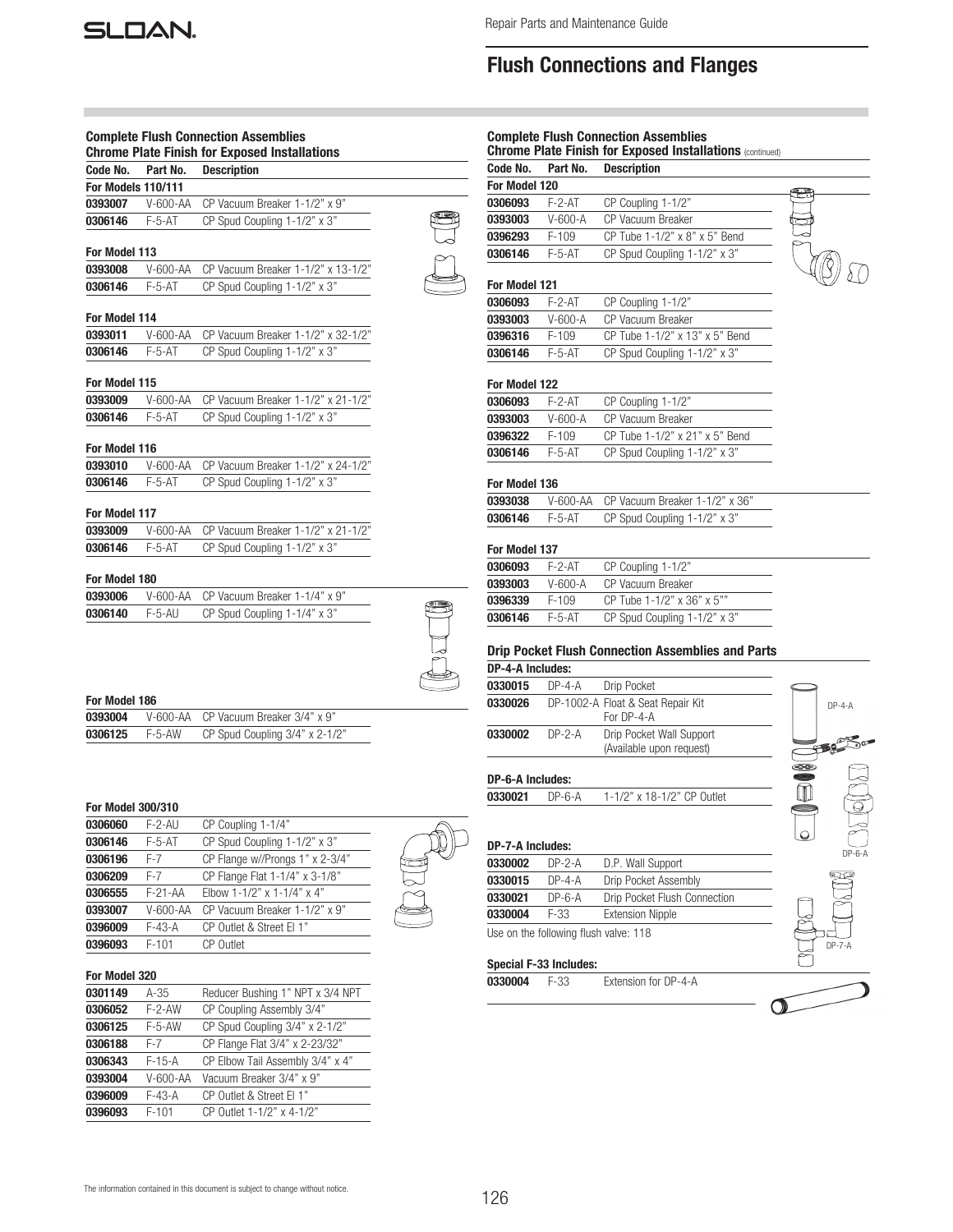

m.

# Flush Connections and Flanges

|                          |          | <b>Complete Flush Connection Assemblies</b><br><b>Chrome Plate Finish for Exposed Installations</b> |  |
|--------------------------|----------|-----------------------------------------------------------------------------------------------------|--|
| Code No.                 | Part No. | <b>Description</b>                                                                                  |  |
| For Models 110/111       |          |                                                                                                     |  |
| 0393007                  | V-600-AA | CP Vacuum Breaker 1-1/2" x 9"                                                                       |  |
| 0306146                  | $F-5-AT$ | CP Spud Coupling 1-1/2" x 3"                                                                        |  |
| For Model 113            |          |                                                                                                     |  |
| 0393008                  | V-600-AA | CP Vacuum Breaker 1-1/2" x 13-1/2"                                                                  |  |
| 0306146                  | $F-5-AT$ | CP Spud Coupling 1-1/2" x 3"                                                                        |  |
| For Model 114            |          |                                                                                                     |  |
| 0393011                  | V-600-AA | CP Vacuum Breaker 1-1/2" x 32-1/2"                                                                  |  |
| 0306146                  | $F-5-AT$ | CP Spud Coupling 1-1/2" x 3"                                                                        |  |
| For Model 115            |          |                                                                                                     |  |
| 0393009                  | V-600-AA | CP Vacuum Breaker 1-1/2" x 21-1/2"                                                                  |  |
| 0306146                  | $F-5-AT$ | CP Spud Coupling 1-1/2" x 3"                                                                        |  |
| For Model 116            |          |                                                                                                     |  |
| 0393010                  | V-600-AA | CP Vacuum Breaker 1-1/2" x 24-1/2"                                                                  |  |
| 0306146                  | $F-5-AT$ | CP Spud Coupling 1-1/2" x 3"                                                                        |  |
| For Model 117            |          |                                                                                                     |  |
| 0393009                  | V-600-AA | CP Vacuum Breaker 1-1/2" x 21-1/2"                                                                  |  |
| 0306146                  | $F-5-AT$ | CP Spud Coupling 1-1/2" x 3"                                                                        |  |
| For Model 180            |          |                                                                                                     |  |
| 0393006                  | V-600-AA | CP Vacuum Breaker 1-1/4" x 9"                                                                       |  |
| 0306140                  | F-5-AU   | CP Spud Coupling 1-1/4" x 3"                                                                        |  |
|                          |          |                                                                                                     |  |
| For Model 186            |          |                                                                                                     |  |
| 0393004                  | V-600-AA | CP Vacuum Breaker 3/4" x 9"                                                                         |  |
| 0306125                  | $F-5-AW$ | CP Spud Coupling 3/4" x 2-1/2"                                                                      |  |
|                          |          |                                                                                                     |  |
| <b>For Model 300/310</b> |          |                                                                                                     |  |
| 0306060                  | F-2-AU   | CP Coupling 1-1/4"                                                                                  |  |
| 0306146                  | $F-5-AT$ | CP Spud Coupling 1-1/2" x 3"                                                                        |  |

| <b>0306060</b> | F-2-AU     | CP Coupling 1-1/4"              |
|----------------|------------|---------------------------------|
| 0306146        | $F-5-AT$   | CP Spud Coupling 1-1/2" x 3"    |
| 0306196        | F-7        | CP Flange w//Prongs 1" x 2-3/4" |
| 0306209        | $F-7$      | CP Flange Flat 1-1/4" x 3-1/8"  |
| 0306555        | $F-21-AA$  | Elbow 1-1/2" x 1-1/4" x 4"      |
| 0393007        | $V-600-AA$ | CP Vacuum Breaker 1-1/2" x 9"   |
| 0396009        | $F-43-A$   | CP Outlet & Street El 1"        |
| 0396093        | $F-101$    | <b>CP</b> Outlet                |
|                |            |                                 |

### For Model 320

| 0301149 | $A-35$     | Reducer Bushing 1" NPT x 3/4 NPT |
|---------|------------|----------------------------------|
| 0306052 | $F-2-AW$   | CP Coupling Assembly 3/4"        |
| 0306125 | $F-5-AW$   | CP Spud Coupling 3/4" x 2-1/2"   |
| 0306188 | F-7        | CP Flange Flat 3/4" x 2-23/32"   |
| 0306343 | $F-15-A$   | CP Elbow Tail Assembly 3/4" x 4" |
| 0393004 | $V-600-AA$ | Vacuum Breaker 3/4" x 9"         |
| 0396009 | $F-43-A$   | CP Outlet & Street El 1"         |
| 0396093 | $F-101$    | CP Outlet 1-1/2" x 4-1/2"        |

|                         |               | <b>Complete Flush Connection Assemblies</b><br><b>Chrome Plate Finish for Exposed Installations (continued)</b> |              |
|-------------------------|---------------|-----------------------------------------------------------------------------------------------------------------|--------------|
| Code No.                | Part No.      | <b>Description</b>                                                                                              |              |
| For Model 120           |               |                                                                                                                 |              |
| 0306093                 | $F-2-AT$      | CP Coupling 1-1/2"                                                                                              |              |
| 0393003                 | $V - 600 - A$ | CP Vacuum Breaker                                                                                               |              |
| 0396293                 | $F-109$       | CP Tube 1-1/2" x 8" x 5" Bend                                                                                   |              |
| 0306146                 | $F-5-AT$      | CP Spud Coupling 1-1/2" x 3"                                                                                    |              |
| <b>For Model 121</b>    |               |                                                                                                                 |              |
| 0306093                 | $F-2-AT$      | CP Coupling 1-1/2"                                                                                              |              |
| 0393003                 | $V-600-A$     | <b>CP Vacuum Breaker</b>                                                                                        |              |
| 0396316                 | $F-109$       | CP Tube 1-1/2" x 13" x 5" Bend                                                                                  |              |
| 0306146                 | $F-5-AT$      | CP Spud Coupling 1-1/2" x 3"                                                                                    |              |
|                         |               |                                                                                                                 |              |
| <b>For Model 122</b>    |               |                                                                                                                 |              |
| 0306093                 | $F - 2 - AT$  | CP Coupling 1-1/2"                                                                                              |              |
| 0393003                 | $V-600-A$     | CP Vacuum Breaker                                                                                               |              |
| 0396322                 | $F-109$       | CP Tube 1-1/2" x 21" x 5" Bend                                                                                  |              |
| 0306146                 | $F-5-AT$      | CP Spud Coupling 1-1/2" x 3"                                                                                    |              |
| For Model 136           |               |                                                                                                                 |              |
| 0393038                 | V-600-AA      | CP Vacuum Breaker 1-1/2" x 36"                                                                                  |              |
| 0306146                 | $F-5-AT$      | CP Spud Coupling 1-1/2" x 3"                                                                                    |              |
|                         |               |                                                                                                                 |              |
| <b>For Model 137</b>    |               |                                                                                                                 |              |
| 0306093                 | $F-2-AT$      | CP Coupling 1-1/2"                                                                                              |              |
| 0393003                 | $V - 600 - A$ | CP Vacuum Breaker                                                                                               |              |
| 0396339                 | $F-109$       | CP Tube 1-1/2" x 36" x 5""                                                                                      |              |
| 0306146                 | $F-5-AT$      | CP Spud Coupling 1-1/2" x 3"                                                                                    |              |
|                         |               | <b>Drip Pocket Flush Connection Assemblies and Parts</b>                                                        |              |
| <b>DP-4-A Includes:</b> |               |                                                                                                                 |              |
| 0330015                 | $DP - 4 - A$  | Drip Pocket                                                                                                     |              |
| 0330026                 |               | DP-1002-A Float & Seat Repair Kit<br>For DP-4-A                                                                 | $DP - 4 - A$ |
| 0330002                 | $DP-2-A$      | Drip Pocket Wall Support<br>(Available upon request)                                                            | FEES         |
|                         |               |                                                                                                                 |              |

#### DP-6-A Includes:

0330021 DP-6-A 1-1/2" x 18-1/2" CP Outlet

#### DP-7-A Includes:

| 0330002 | $DP-2-A$ | D.P. Wall Support                                     |
|---------|----------|-------------------------------------------------------|
| 0330015 | $DP-4-A$ | Drip Pocket Assembly                                  |
| 0330021 | $DP-6-A$ | Drip Pocket Flush Connection                          |
| 0330004 | F-33     | <b>Extension Nipple</b>                               |
|         |          | The company of the continue of the contract of the Co |

Use on the following flush valve: 118

#### Special F-33 Includes:

0330004 F-33 Extension for DP-4-A

 $\cap$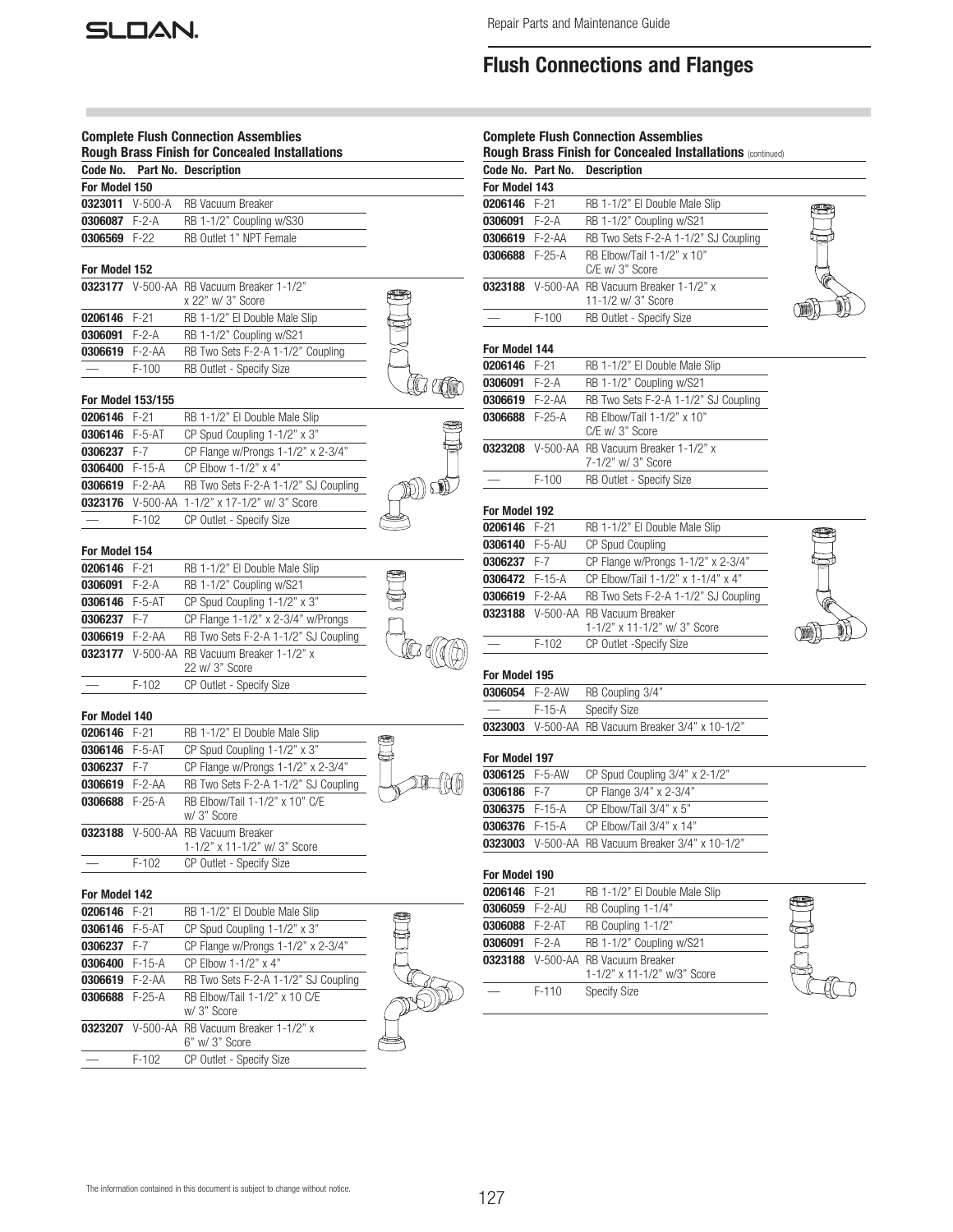# Flush Connections and Flanges

|                |                                    | <b>Complete Flush Connection Assemblies</b><br><b>Rough Brass Finish for Concealed Installations</b> |       |
|----------------|------------------------------------|------------------------------------------------------------------------------------------------------|-------|
| Code No.       |                                    | Part No. Description                                                                                 |       |
| For Model 150  |                                    |                                                                                                      |       |
| 0323011        | $V-500-A$                          | <b>RB Vacuum Breaker</b>                                                                             |       |
| 0306087        | $F-2-A$                            | RB 1-1/2" Coupling w/S30                                                                             |       |
| 0306569        | $F-22$                             | RB Outlet 1" NPT Female                                                                              |       |
| For Model 152  |                                    |                                                                                                      |       |
|                |                                    | 0323177 V-500-AA RB Vacuum Breaker 1-1/2"                                                            |       |
|                |                                    | x 22" w/ 3" Score                                                                                    |       |
| 0206146        | $F-21$                             | RB 1-1/2" El Double Male Slip                                                                        |       |
| 0306091        | $F-2-A$                            | RB 1-1/2" Coupling w/S21                                                                             |       |
| 0306619        | $F-2-AA$                           | RB Two Sets F-2-A 1-1/2" Coupling                                                                    |       |
|                | $F-100$                            | RB Outlet - Specify Size                                                                             |       |
|                |                                    |                                                                                                      |       |
| 0206146        | <b>For Model 153/155</b><br>$F-21$ | RB 1-1/2" El Double Male Slip                                                                        |       |
| 0306146        | $F-5-AT$                           | CP Spud Coupling 1-1/2" x 3"                                                                         |       |
| 0306237        | $F-7$                              |                                                                                                      |       |
| 0306400 F-15-A |                                    | CP Flange w/Prongs 1-1/2" x 2-3/4"<br>CP Elbow 1-1/2" x 4"                                           |       |
|                |                                    |                                                                                                      |       |
| 0306619 F-2-AA |                                    | RB Two Sets F-2-A 1-1/2" SJ Coupling                                                                 |       |
| 0323176        |                                    | V-500-AA 1-1/2" x 17-1/2" w/ 3" Score                                                                |       |
|                | $F-102$                            | CP Outlet - Specify Size                                                                             |       |
| For Model 154  |                                    |                                                                                                      |       |
| 0206146        | $F-21$                             | RB 1-1/2" El Double Male Slip                                                                        |       |
| 0306091        | $F-2-A$                            | RB 1-1/2" Coupling w/S21                                                                             |       |
| 0306146 F-5-AT |                                    | CP Spud Coupling 1-1/2" x 3"                                                                         |       |
| 0306237        | F-7                                | CP Flange 1-1/2" x 2-3/4" w/Prongs                                                                   |       |
| 0306619 F-2-AA |                                    | RB Two Sets F-2-A 1-1/2" SJ Coupling                                                                 |       |
| 0323177        |                                    | V-500-AA RB Vacuum Breaker 1-1/2" x<br>22 w/ 3" Score                                                | ICz q |
|                | F-102                              | CP Outlet - Specify Size                                                                             |       |
| For Model 140  |                                    |                                                                                                      |       |
| 0206146        | F-21                               | RB 1-1/2" El Double Male Slip                                                                        |       |
| 0306146 F-5-AT |                                    | CP Spud Coupling 1-1/2" x 3"                                                                         |       |
| 0306237 F-7    |                                    | CP Flange w/Prongs 1-1/2" x 2-3/4"                                                                   |       |
| 0306619        | $F-2-AA$                           | RB Two Sets F-2-A 1-1/2" SJ Coupling                                                                 |       |
| 0306688        | $F-25-A$                           | RB Elbow/Tail 1-1/2" x 10" C/E                                                                       |       |
|                |                                    | w/ 3" Score                                                                                          |       |
|                |                                    | 0323188 V-500-AA RB Vacuum Breaker                                                                   |       |
|                |                                    | 1-1/2" x 11-1/2" w/ 3" Score                                                                         |       |
|                | $F-102$                            | CP Outlet - Specify Size                                                                             |       |
| For Model 142  |                                    |                                                                                                      |       |
| 0206146        | $F-21$                             | RB 1-1/2" El Double Male Slip                                                                        |       |
| 0306146        | $F-5-AT$                           | CP Spud Coupling 1-1/2" x 3"                                                                         |       |
| 0306237        | F-7                                | CP Flange w/Prongs 1-1/2" x 2-3/4"                                                                   |       |
| 0306400        | $F-15-A$                           | CP Elbow 1-1/2" x 4"                                                                                 |       |
| 0306619        | $F-2-AA$                           | RB Two Sets F-2-A 1-1/2" SJ Coupling                                                                 |       |
| 0306688        | $F-25-A$                           | RB Elbow/Tail 1-1/2" x 10 C/E                                                                        |       |
|                |                                    | w/ 3" Score                                                                                          |       |
| 0323207        |                                    | V-500-AA RB Vacuum Breaker 1-1/2" x<br>6" w/ 3" Score                                                |       |
|                | $F-102$                            | CP Outlet - Specify Size                                                                             |       |
|                |                                    |                                                                                                      |       |

|                          |                   | <b>Complete Flush Connection Assemblies</b>                       |  |
|--------------------------|-------------------|-------------------------------------------------------------------|--|
|                          |                   | Rough Brass Finish for Concealed Installations (continued)        |  |
|                          | Code No. Part No. | <b>Description</b>                                                |  |
| For Model 143            |                   |                                                                   |  |
| 0206146                  | $F-21$            | RB 1-1/2" El Double Male Slip                                     |  |
| 0306091 F-2-A            |                   | RB 1-1/2" Coupling w/S21                                          |  |
| 0306619 F-2-AA           |                   | RB Two Sets F-2-A 1-1/2" SJ Coupling                              |  |
| 0306688 F-25-A           |                   | RB Elbow/Tail 1-1/2" x 10"<br>C/E w/ 3" Score                     |  |
|                          |                   | 0323188 V-500-AA RB Vacuum Breaker 1-1/2" x<br>11-1/2 w/ 3" Score |  |
|                          | $F-100$           | RB Outlet - Specify Size                                          |  |
| For Model 144<br>0206146 | $F-21$            | RB 1-1/2" El Double Male Slip                                     |  |
| 0306091                  | $F-2-A$           | RB 1-1/2" Coupling w/S21                                          |  |
| 0306619 F-2-AA           |                   | RB Two Sets F-2-A 1-1/2" SJ Coupling                              |  |
| 0306688 F-25-A           |                   | RB Flbow/Tail 1-1/2" x 10"<br>C/E w/ 3" Score                     |  |
|                          |                   | 0323208 V-500-AA RB Vacuum Breaker 1-1/2" x<br>7-1/2" w/ 3" Score |  |
|                          | $F-100$           | RB Outlet - Specify Size                                          |  |
| For Model 192            |                   |                                                                   |  |
| 0206146                  | $F-21$            | RB 1-1/2" El Double Male Slip                                     |  |
| 0306140                  | $F-5-AU$          | <b>CP Spud Coupling</b>                                           |  |
| 0306237                  | $F-7$             | CP Flange w/Prongs 1-1/2" x 2-3/4"                                |  |
| <b>በኃበፎብ7ዓ ፫</b> 1፫ ለ    |                   | $CD$ Elbow/Toil 1 1/0" $v$ 1 1/4" $v$ 4"                          |  |

| 0306237 F-7    |       | CP Flange w/Prongs 1-1/2" x 2-3/4"                                 |
|----------------|-------|--------------------------------------------------------------------|
| 0306472 F-15-A |       | CP Elbow/Tail 1-1/2" x 1-1/4" x 4"                                 |
| 0306619 F-2-AA |       | RB Two Sets F-2-A 1-1/2" SJ Coupling                               |
|                |       | 0323188 V-500-AA RB Vacuum Breaker<br>1-1/2" x 11-1/2" w/ 3" Score |
|                | F-102 | CP Outlet -Specify Size                                            |



#### For Model 195

| 0306054 F-2-AW |        | RB Coupling 3/4"                                         |
|----------------|--------|----------------------------------------------------------|
|                | F-15-A | Specify Size                                             |
|                |        | <b>0323003</b> V-500-AA RB Vacuum Breaker 3/4" x 10-1/2" |

#### For Model 197

| 0306125 F-5-AW | CP Spud Coupling 3/4" x 2-1/2"                           |
|----------------|----------------------------------------------------------|
| 0306186 F-7    | CP Flange 3/4" x 2-3/4"                                  |
| 0306375 F-15-A | CP Elbow/Tail 3/4" x 5"                                  |
| 0306376 F-15-A | CP Elbow/Tail $3/4$ " x $14$ "                           |
|                | <b>0323003</b> V-500-AA RB Vacuum Breaker 3/4" x 10-1/2" |

### For Model 190

| 0206146 F-21   |         | RB 1-1/2" El Double Male Slip                                     |
|----------------|---------|-------------------------------------------------------------------|
| 0306059 F-2-AU |         | RB Coupling 1-1/4"                                                |
| 0306088 F-2-AT |         | RB Coupling 1-1/2"                                                |
| 0306091 F-2-A  |         | RB 1-1/2" Coupling w/S21                                          |
|                |         | 0323188 V-500-AA RB Vacuum Breaker<br>1-1/2" x 11-1/2" w/3" Score |
|                | $F-110$ | <b>Specify Size</b>                                               |

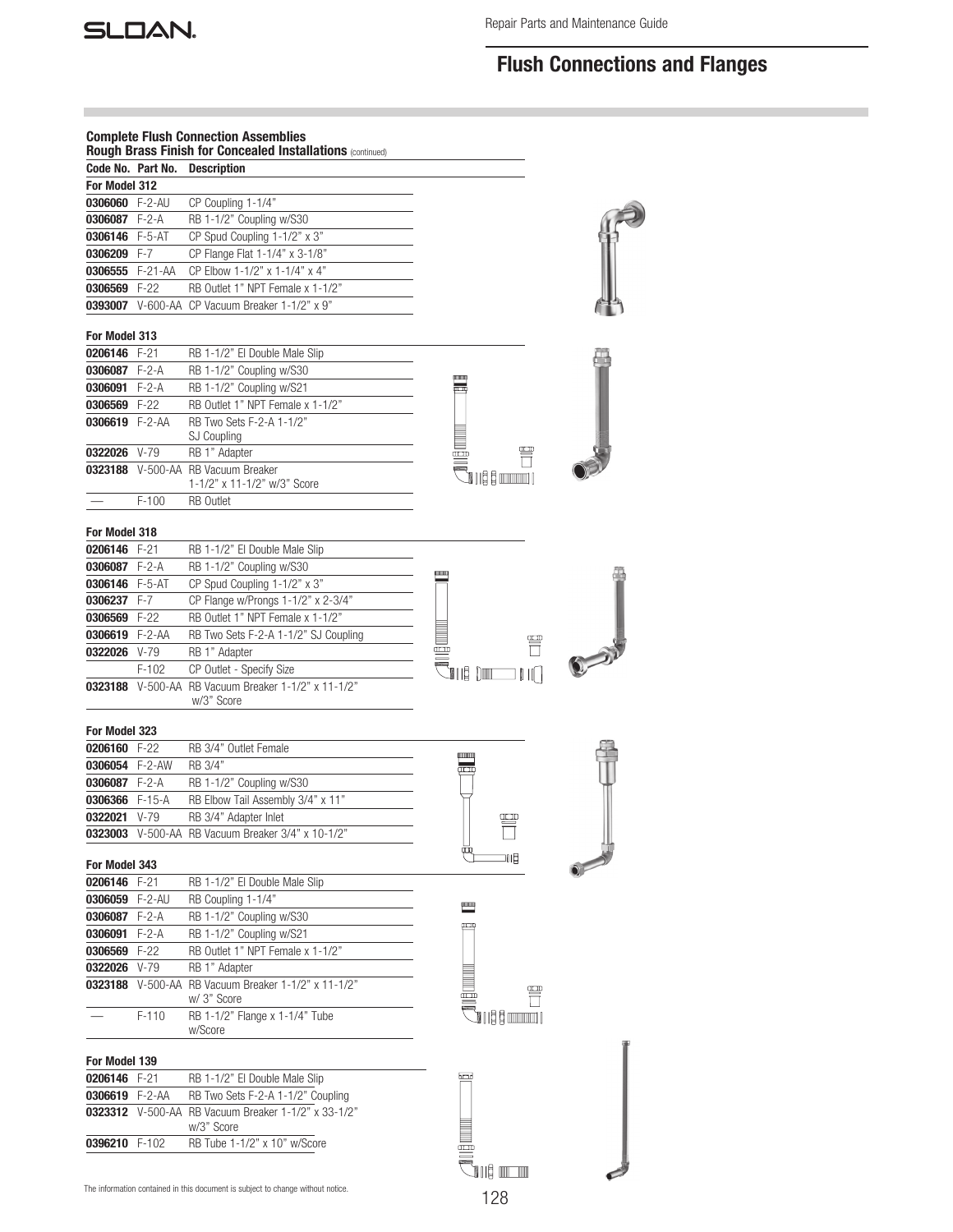

# Flush Connections and Flanges

|                                |         | <b>Complete Flush Connection Assemblies</b>                                     |                                   |  |
|--------------------------------|---------|---------------------------------------------------------------------------------|-----------------------------------|--|
|                                |         | Rough Brass Finish for Concealed Installations (continued)                      |                                   |  |
| Code No. Part No.              |         | Description                                                                     |                                   |  |
| For Model 312                  |         |                                                                                 |                                   |  |
| 0306060 F-2-AU                 |         | CP Coupling 1-1/4"                                                              |                                   |  |
| 0306087 F-2-A                  |         | RB 1-1/2" Coupling w/S30                                                        |                                   |  |
| 0306146 F-5-AT                 |         | CP Spud Coupling 1-1/2" x 3"                                                    |                                   |  |
| 0306209 F-7                    |         | CP Flange Flat 1-1/4" x 3-1/8"                                                  |                                   |  |
| 0306555 F-21-AA                |         | CP Elbow 1-1/2" x 1-1/4" x 4"                                                   |                                   |  |
| 0306569 F-22                   |         | RB Outlet 1" NPT Female x 1-1/2"                                                |                                   |  |
|                                |         | 0393007 V-600-AA CP Vacuum Breaker 1-1/2" x 9"                                  |                                   |  |
| For Model 313                  |         |                                                                                 |                                   |  |
| 0206146 F-21                   |         | RB 1-1/2" El Double Male Slip                                                   |                                   |  |
| 0306087 F-2-A                  |         | RB 1-1/2" Coupling w/S30                                                        |                                   |  |
| 0306091 F-2-A                  |         | RB 1-1/2" Coupling w/S21                                                        | <u>ponon</u>                      |  |
| 0306569 F-22                   |         | RB Outlet 1" NPT Female x 1-1/2"                                                |                                   |  |
| 0306619 F-2-AA                 |         | RB Two Sets F-2-A 1-1/2"                                                        |                                   |  |
|                                |         | SJ Coupling                                                                     |                                   |  |
| 0322026 V-79                   |         | RB 1" Adapter                                                                   | Œ                                 |  |
|                                |         | 0323188 V-500-AA RB Vacuum Breaker                                              | `O I I & & annonco I              |  |
|                                |         | 1-1/2" x 11-1/2" w/3" Score                                                     |                                   |  |
|                                | $F-100$ | <b>RB</b> Outlet                                                                |                                   |  |
| For Model 318                  |         |                                                                                 |                                   |  |
| 0206146 F-21                   |         | RB 1-1/2" El Double Male Slip                                                   |                                   |  |
| 0306087 F-2-A                  |         | RB 1-1/2" Coupling w/S30                                                        |                                   |  |
| 0306146 F-5-AT                 |         | CP Spud Coupling 1-1/2" x 3"                                                    | <b><i><u>HIIIIIIIIIII</u></i></b> |  |
| 0306237 F-7                    |         | CP Flange w/Prongs 1-1/2" x 2-3/4"                                              |                                   |  |
| 0306569 F-22                   |         | RB Outlet 1" NPT Female x 1-1/2"                                                |                                   |  |
| 0306619 F-2-AA                 |         | RB Two Sets F-2-A 1-1/2" SJ Coupling                                            |                                   |  |
| 0322026 V-79                   |         | RB 1" Adapter                                                                   | œ                                 |  |
|                                | $F-102$ | CP Outlet - Specify Size                                                        | 1118 Din<br>$\mathbb{H}$          |  |
|                                |         | 0323188 V-500-AA RB Vacuum Breaker 1-1/2" x 11-1/2"                             |                                   |  |
|                                |         | w/3" Score                                                                      |                                   |  |
|                                |         |                                                                                 |                                   |  |
| For Model 323                  |         |                                                                                 |                                   |  |
| 0206160 F-22                   |         | RB 3/4" Outlet Female                                                           | IIIIIIIIIII                       |  |
| 0306054 F-2-AW                 |         | RB 3/4"                                                                         | m                                 |  |
| 0306087 F-2-A                  |         | RB 1-1/2" Coupling w/S30                                                        |                                   |  |
| 0306366 F-15-A<br>0322021 V-79 |         | RB Elbow Tail Assembly 3/4" x 11"                                               |                                   |  |
|                                |         | RB 3/4" Adapter Inlet<br>0323003 V-500-AA RB Vacuum Breaker 3/4" x 10-1/2"      | Œ                                 |  |
|                                |         |                                                                                 | ФQ                                |  |
| For Model 343                  |         |                                                                                 | 叩目                                |  |
| 0206146 F-21                   |         | RB 1-1/2" El Double Male Slip                                                   |                                   |  |
| 0306059 F-2-AU                 |         | RB Coupling 1-1/4"                                                              |                                   |  |
| 0306087 F-2-A                  |         | RB 1-1/2" Coupling w/S30                                                        |                                   |  |
| 0306091                        | $F-2-A$ | RB 1-1/2" Coupling w/S21                                                        | سم                                |  |
| 0306569 F-22                   |         | RB Outlet 1" NPT Female x 1-1/2"                                                |                                   |  |
| 0322026 V-79                   |         | RB 1" Adapter                                                                   |                                   |  |
|                                |         | 0323188 V-500-AA RB Vacuum Breaker 1-1/2" x 11-1/2"                             |                                   |  |
|                                |         | w/ 3" Score                                                                     |                                   |  |
|                                | $F-110$ | RB 1-1/2" Flange x 1-1/4" Tube                                                  | `JI I § § www.l                   |  |
|                                |         | w/Score                                                                         |                                   |  |
| For Model 139                  |         |                                                                                 |                                   |  |
| 0206146 F-21                   |         | RB 1-1/2" El Double Male Slip                                                   | أتتتنأ                            |  |
| 0306619 F-2-AA                 |         | RB Two Sets F-2-A 1-1/2" Coupling                                               |                                   |  |
|                                |         | 0323312 V-500-AA RB Vacuum Breaker 1-1/2" x 33-1/2"                             |                                   |  |
|                                |         | w/3" Score                                                                      |                                   |  |
| 0396210 F-102                  |         | RB Tube 1-1/2" x 10" w/Score                                                    |                                   |  |
|                                |         |                                                                                 |                                   |  |
|                                |         |                                                                                 | n bilt                            |  |
|                                |         | The information contained in this document is subject to change without notice. | 128                               |  |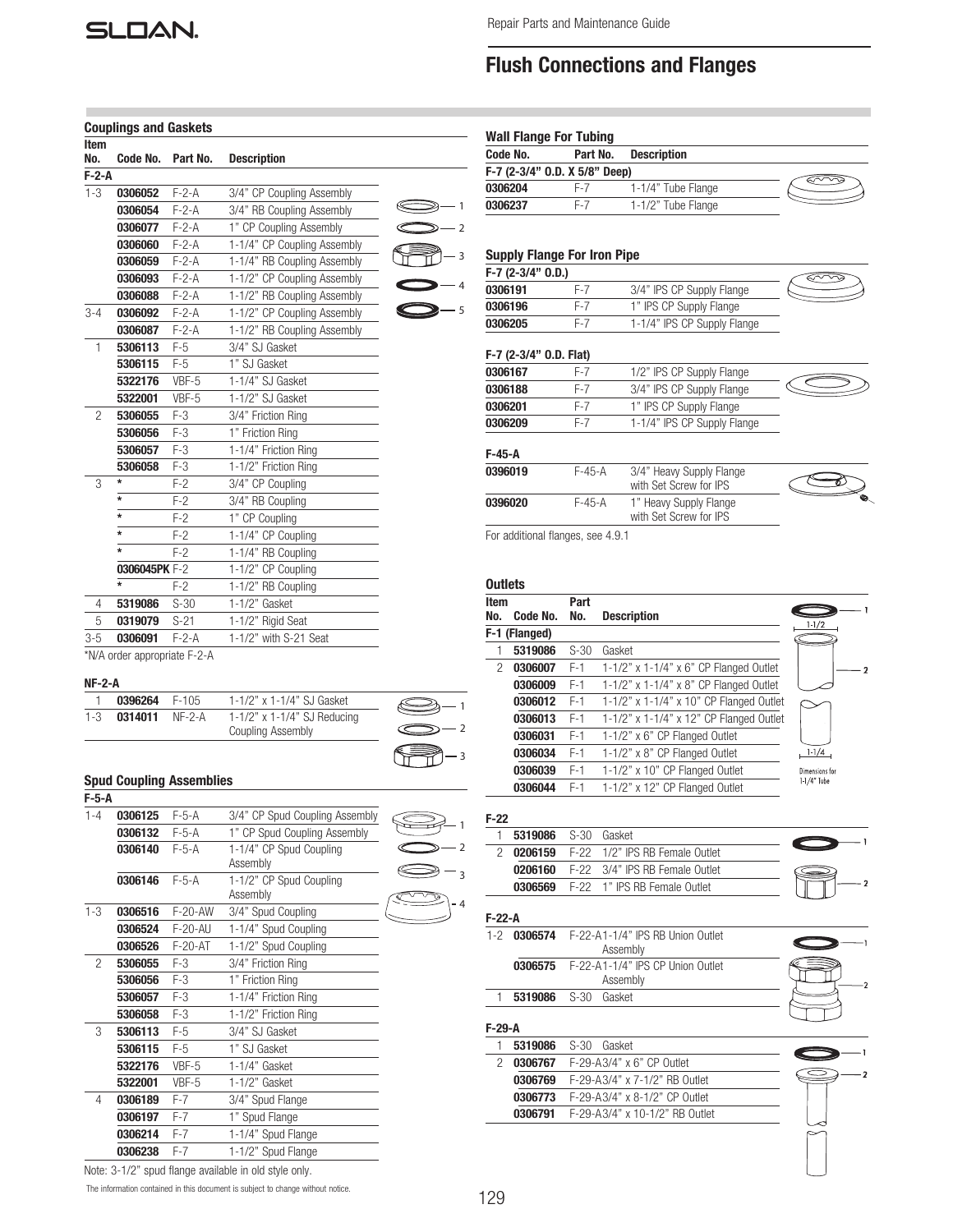# **SLOAN**

Code No. Part No. Description

0306204 F-7 1-1/4" Tube Flange **0306237** F-7 1-1/2" Tube Flange

**0306191** F-7 3/4" IPS CP Supply Flange 0306196 F-7 1" IPS CP Supply Flange **0306205** F-7 1-1/4" IPS CP Supply Flange

0306167 F-7 1/2" IPS CP Supply Flange **0306188** F-7 3/4" IPS CP Supply Flange **0306201** F-7 1" IPS CP Supply Flange 0306209 F-7 1-1/4" IPS CP Supply Flange

0396019 F-45-A 3/4" Heavy Supply Flange

0396020 F-45-A 1" Heavy Supply Flange

Wall Flange For Tubing

F-7 (2-3/4" O.D. X 5/8" Deep)

Supply Flange For Iron Pipe

F-7 (2-3/4" O.D.)

F-7 (2-3/4" O.D. Flat)

# Flush Connections and Flanges

| <b>Couplings and Gaskets</b><br><b>Item</b><br>No.<br>Code No.<br>Part No.<br><b>Description</b><br>$F-2-A$<br>$1 - 3$<br>$F-2-A$<br>0306052<br>3/4" CP Coupling Assembly<br>0306054<br>$F - 2 - A$<br>3/4" RB Coupling Assembly<br>0306077<br>$F - 2 - A$ | -1<br>2 |
|------------------------------------------------------------------------------------------------------------------------------------------------------------------------------------------------------------------------------------------------------------|---------|
|                                                                                                                                                                                                                                                            |         |
|                                                                                                                                                                                                                                                            |         |
|                                                                                                                                                                                                                                                            |         |
|                                                                                                                                                                                                                                                            |         |
| 1" CP Coupling Assembly                                                                                                                                                                                                                                    |         |
| $F-2-A$<br>1-1/4" CP Coupling Assembly<br>0306060                                                                                                                                                                                                          |         |
| 0306059<br>$F - 2 - A$<br>1-1/4" RB Coupling Assembly                                                                                                                                                                                                      |         |
| $F-2-A$<br>1-1/2" CP Coupling Assembly<br>0306093                                                                                                                                                                                                          |         |
| $F-2-A$<br>1-1/2" RB Coupling Assembly<br>0306088                                                                                                                                                                                                          |         |
| 1-1/2" CP Coupling Assembly<br>0306092<br>$F-2-A$<br>$3 - 4$                                                                                                                                                                                               | 5       |
| $F-2-A$<br>1-1/2" RB Coupling Assembly<br>0306087                                                                                                                                                                                                          |         |
| 5306113<br>$F-5$<br>3/4" SJ Gasket<br>$\mathbf{1}$                                                                                                                                                                                                         |         |
| 5306115<br>$F-5$<br>1" SJ Gasket                                                                                                                                                                                                                           |         |
| VBF-5<br>1-1/4" SJ Gasket<br>5322176                                                                                                                                                                                                                       |         |
| VBF-5<br>1-1/2" SJ Gasket<br>5322001                                                                                                                                                                                                                       |         |
| $F-3$<br>3/4" Friction Ring<br>$\overline{c}$<br>5306055                                                                                                                                                                                                   |         |
| $F-3$<br>1" Friction Ring<br>5306056                                                                                                                                                                                                                       |         |
| 5306057<br>$F-3$<br>1-1/4" Friction Ring                                                                                                                                                                                                                   |         |
| $F-3$<br>1-1/2" Friction Ring<br>5306058                                                                                                                                                                                                                   |         |
| $\star$<br>$F-2$<br>3/4" CP Coupling<br>3                                                                                                                                                                                                                  |         |
| $\star$<br>$F-2$<br>3/4" RB Coupling                                                                                                                                                                                                                       |         |
| $\star$<br>$F-2$<br>1" CP Coupling                                                                                                                                                                                                                         |         |
| $\star$<br>$F-2$<br>1-1/4" CP Coupling                                                                                                                                                                                                                     |         |
| $\star$<br>$F-2$<br>1-1/4" RB Coupling                                                                                                                                                                                                                     |         |
| 0306045PK F-2<br>1-1/2" CP Coupling                                                                                                                                                                                                                        |         |
| $\star$<br>$F-2$<br>1-1/2" RB Coupling                                                                                                                                                                                                                     |         |
| $1 - 1/2"$ Gasket<br>$S-30$<br>4<br>5319086                                                                                                                                                                                                                |         |
| 5<br>0319079<br>$S-21$<br>1-1/2" Rigid Seat                                                                                                                                                                                                                |         |
| $F-2-A$<br>1-1/2" with S-21 Seat<br>$3 - 5$<br>0306091<br><b>ANIIA</b><br>$ \sim$ $\sim$                                                                                                                                                                   |         |

\*N/A order appropriate F-2-A

#### NF-2-A

| 0396264 F-105         | 1-1/2" x 1-1/4" SJ Gasket         |  |
|-----------------------|-----------------------------------|--|
| 1-3 $0.314011$ NF-2-A | $1-1/2$ " x $1-1/4$ " SJ Reducing |  |
|                       | Coupling Assembly                 |  |

### Spud Coupling Assemblies

| $F-5-A$ |         |           |                                     |  |
|---------|---------|-----------|-------------------------------------|--|
| $1 - 4$ | 0306125 | $F-5-A$   | 3/4" CP Spud Coupling Assembly      |  |
|         | 0306132 | $F-5-A$   | 1" CP Spud Coupling Assembly        |  |
|         | 0306140 | $F-5-A$   | 1-1/4" CP Spud Coupling<br>Assembly |  |
|         | 0306146 | $F-5-A$   | 1-1/2" CP Spud Coupling<br>Assembly |  |
| $1 - 3$ | 0306516 | $F-20-AW$ | 3/4" Spud Coupling                  |  |
|         | 0306524 | F-20-AU   | 1-1/4" Spud Coupling                |  |
|         | 0306526 | $F-20-AT$ | 1-1/2" Spud Coupling                |  |
| 2       | 5306055 | $F-3$     | 3/4" Friction Ring                  |  |
|         | 5306056 | $F-3$     | 1" Friction Ring                    |  |
|         | 5306057 | $F-3$     | 1-1/4" Friction Ring                |  |
|         | 5306058 | $F-3$     | 1-1/2" Friction Ring                |  |
| 3       | 5306113 | $F-5$     | 3/4" SJ Gasket                      |  |
|         | 5306115 | $F-5$     | 1" SJ Gasket                        |  |
|         | 5322176 | VBF-5     | $1-1/4$ " Gasket                    |  |
|         | 5322001 | VBF-5     | $1-1/2$ " Gasket                    |  |
| 4       | 0306189 | $F-7$     | 3/4" Spud Flange                    |  |
|         | 0306197 | $F-7$     | 1" Spud Flange                      |  |
|         | 0306214 | $F-7$     | 1-1/4" Spud Flange                  |  |
|         | 0306238 | $F-7$     | 1-1/2" Spud Flange                  |  |

 with Set Screw for IPS For additional flanges, see 4.9.1

#### **Outlets**

3

₹

F-45-A

| Item |               | Part   |                                         |                |
|------|---------------|--------|-----------------------------------------|----------------|
| No.  | Code No.      | No.    | <b>Description</b>                      | $1-1/2$        |
|      | F-1 (Flanged) |        |                                         |                |
|      | 5319086       | $S-30$ | Gasket                                  |                |
| 2    | 0306007       | $F-1$  | 1-1/2" x 1-1/4" x 6" CP Flanged Outlet  |                |
|      | 0306009       | $F-1$  | 1-1/2" x 1-1/4" x 8" CP Flanged Outlet  |                |
|      | 0306012       | $F-1$  | 1-1/2" x 1-1/4" x 10" CP Flanged Outlet |                |
|      | 0306013       | $F-1$  | 1-1/2" x 1-1/4" x 12" CP Flanged Outlet |                |
|      | 0306031       | $F-1$  | 1-1/2" x 6" CP Flanged Outlet           |                |
|      | 0306034       | $F-1$  | 1-1/2" x 8" CP Flanged Outlet           | $1 - 1/4$      |
|      | 0306039       | $F-1$  | 1-1/2" x 10" CP Flanged Outlet          | Dimensions for |
|      | 0306044       | $F-1$  | 1-1/2" x 12" CP Flanged Outlet          | 1-1/4" Tube    |

with Set Screw for IPS

3

 $\widehat{\ll}$ 

 $\bigotimes$ 

ಕು

#### F-22 5319086 S-30 Gasket

|  | <u>wu i uuwu</u> | ,,,,,, | ,,,,,,,,,,,                                   |  |
|--|------------------|--------|-----------------------------------------------|--|
|  |                  |        | <b>0206159</b> F-22 1/2" IPS RB Female Outlet |  |
|  | 0206160          |        | F-22 3/4" IPS RB Female Outlet                |  |
|  | 0306569          |        | F-22 1" IPS RB Female Outlet                  |  |
|  |                  |        |                                               |  |

#### F-22-A

| $1-2$ | <b>0306574</b> F-22-A1-1/4" IPS RR Union Outlet |  |
|-------|-------------------------------------------------|--|
|       | Assembly                                        |  |
|       | 0306575    F-22-A1-1/4" IPS CP Union Outlet     |  |
|       | Assembly                                        |  |
|       | <b>5319086</b> S-30 Gasket                      |  |
|       |                                                 |  |

## F-29-A

|  |                                          | <b>5319086</b> S-30 Gasket                   |  |  |  |
|--|------------------------------------------|----------------------------------------------|--|--|--|
|  | <b>0306767</b> F-29-A3/4" x 6" CP Outlet |                                              |  |  |  |
|  |                                          | <b>0306769</b> F-29-A3/4" x 7-1/2" RB Outlet |  |  |  |
|  |                                          | <b>0306773</b> F-29-A3/4" x 8-1/2" CP Outlet |  |  |  |
|  |                                          | 0306791  F-29-A3/4" x 10-1/2" RB Outlet      |  |  |  |



The information contained in this document is subject to change without notice. Note: 3-1/2" spud flange available in old style only.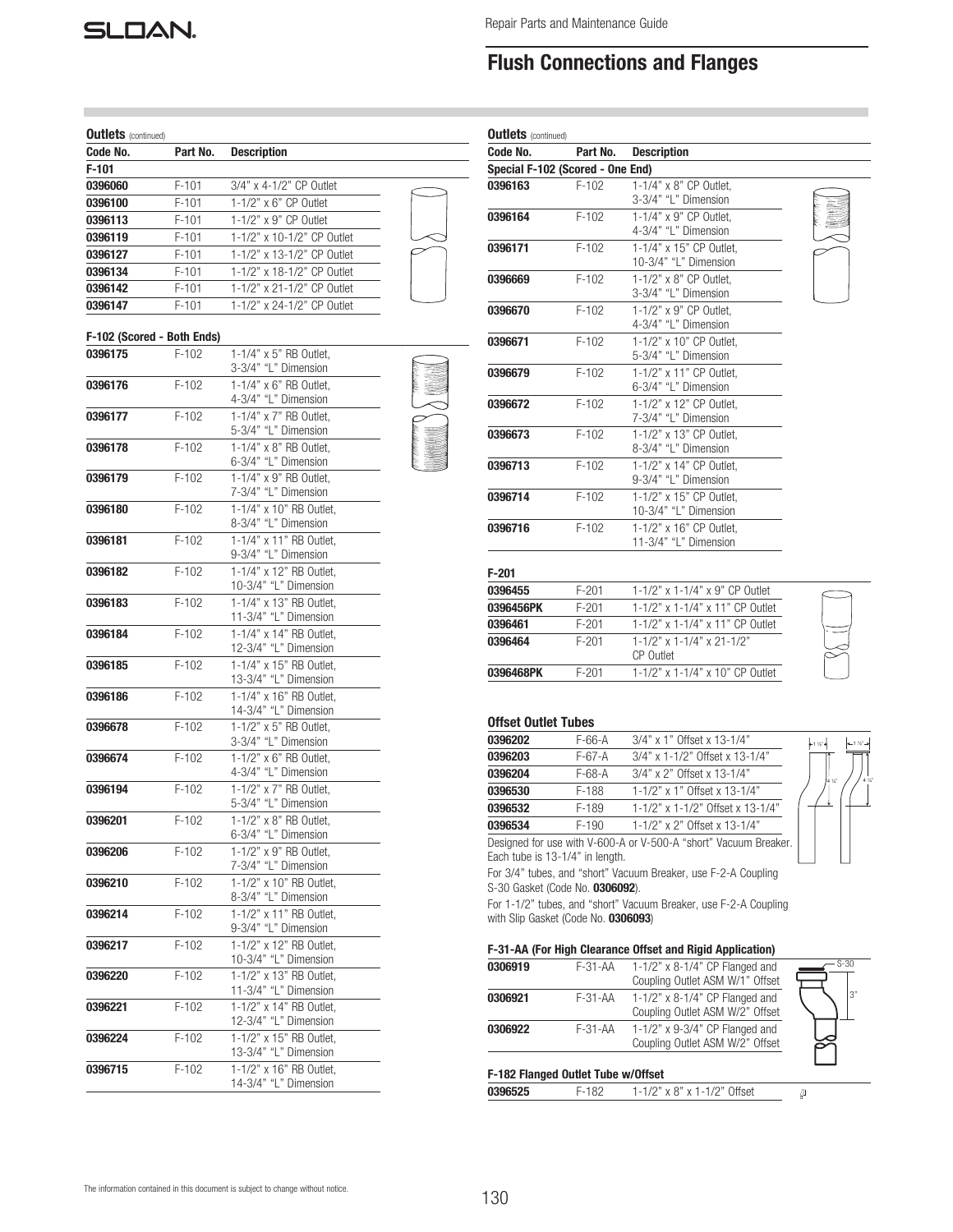

# Flush Connections and Flanges

| <b>Outlets</b> (continued) |          |                                                  |  |
|----------------------------|----------|--------------------------------------------------|--|
| Code No.                   | Part No. | <b>Description</b>                               |  |
| $F-101$                    |          |                                                  |  |
| 0396060                    | $F-101$  | 3/4" x 4-1/2" CP Outlet                          |  |
| 0396100                    | $F-101$  | 1-1/2" x 6" CP Outlet                            |  |
| 0396113                    | $F-101$  | 1-1/2" x 9" CP Outlet                            |  |
| 0396119                    | $F-101$  | 1-1/2" x 10-1/2" CP Outlet                       |  |
| 0396127                    | $F-101$  | 1-1/2" x 13-1/2" CP Outlet                       |  |
| 0396134                    | $F-101$  | 1-1/2" x 18-1/2" CP Outlet                       |  |
| 0396142                    | $F-101$  | 1-1/2" x 21-1/2" CP Outlet                       |  |
| 0396147                    | $F-101$  | 1-1/2" x 24-1/2" CP Outlet                       |  |
| F-102 (Scored - Both Ends) |          |                                                  |  |
| 0396175                    | $F-102$  | 1-1/4" x 5" RB Outlet.                           |  |
|                            |          | 3-3/4" "L" Dimension                             |  |
| 0396176                    | $F-102$  | $1-1/4" \times 6"$ RB Outlet,                    |  |
|                            |          | 4-3/4" "L" Dimension                             |  |
| 0396177                    | $F-102$  | 1-1/4" x 7" RB Outlet,                           |  |
| 0396178                    | $F-102$  | 5-3/4" "L" Dimension<br>1-1/4" x 8" RB Outlet,   |  |
|                            |          | 6-3/4" "L" Dimension                             |  |
| 0396179                    | $F-102$  | $1-1/4$ " x 9" RB Outlet,                        |  |
|                            |          | 7-3/4" "L" Dimension                             |  |
| 0396180                    | $F-102$  | 1-1/4" x 10" RB Outlet,                          |  |
|                            |          | 8-3/4" "L" Dimension                             |  |
| 0396181                    | $F-102$  | 1-1/4" x 11" RB Outlet,                          |  |
|                            |          | 9-3/4" "L" Dimension<br>1-1/4" x 12" RB Outlet,  |  |
| 0396182                    | $F-102$  | 10-3/4" "L" Dimension                            |  |
| 0396183                    | $F-102$  | 1-1/4" x 13" RB Outlet.                          |  |
|                            |          | 11-3/4" "L" Dimension                            |  |
| 0396184                    | $F-102$  | 1-1/4" x 14" RB Outlet,                          |  |
|                            |          | 12-3/4" "L" Dimension                            |  |
| 0396185                    | $F-102$  | 1-1/4" x 15" RB Outlet,                          |  |
|                            |          | 13-3/4" "L" Dimension                            |  |
| 0396186                    | $F-102$  | 1-1/4" x 16" RB Outlet,<br>14-3/4" "L" Dimension |  |
| 0396678                    | $F-102$  | 1-1/2" x 5" RB Outlet,                           |  |
|                            |          | 3-3/4" "L" Dimension                             |  |
| 0396674                    | $F-102$  | $1-1/2$ " x 6" RB Outlet,                        |  |
|                            |          | 4-3/4" "L" Dimension                             |  |
| 0396194                    | $F-102$  | 1-1/2" x 7" RB Outlet,                           |  |
|                            |          | 5-3/4" "L" Dimension                             |  |
| 0396201                    | $F-102$  | 1-1/2" x 8" RB Outlet,                           |  |
| 0396206                    |          | 6-3/4" "L" Dimension<br>1-1/2" x 9" RB Outlet.   |  |
|                            | F-102    | 7-3/4" "L" Dimension                             |  |
| 0396210                    | $F-102$  | 1-1/2" x 10" RB Outlet.                          |  |
|                            |          | 8-3/4" "L" Dimension                             |  |
| 0396214                    | $F-102$  | 1-1/2" x 11" RB Outlet,                          |  |
|                            |          | 9-3/4" "L" Dimension                             |  |
| 0396217                    | F-102    | 1-1/2" x 12" RB Outlet.                          |  |
|                            |          | 10-3/4" "L" Dimension                            |  |
| 0396220                    | $F-102$  | 1-1/2" x 13" RB Outlet,<br>11-3/4" "L" Dimension |  |
| 0396221                    | F-102    | 1-1/2" x 14" RB Outlet,                          |  |
|                            |          | 12-3/4" "L" Dimension                            |  |
| 0396224                    | F-102    | 1-1/2" x 15" RB Outlet,                          |  |
|                            |          | 13-3/4" "L" Dimension                            |  |
| 0396715                    | $F-102$  | 1-1/2" x 16" RB Outlet,                          |  |
|                            |          | 14-3/4" "L" Dimension                            |  |

| Code No.                         | Part No.  | <b>Description</b>                                           |  |
|----------------------------------|-----------|--------------------------------------------------------------|--|
| Special F-102 (Scored - One End) |           |                                                              |  |
| 0396163                          | $F-102$   | 1-1/4" x 8" CP Outlet.<br>3-3/4" "L" Dimension               |  |
| 0396164                          | $F-102$   | 1-1/4" x 9" CP Outlet.<br>4-3/4" "L" Dimension               |  |
| 0396171                          | $F-102$   | 1-1/4" x 15" CP Outlet,<br>10-3/4" "L" Dimension             |  |
| 0396669                          | $F-102$   | 1-1/2" x 8" CP Outlet,<br>3-3/4" "L" Dimension               |  |
| 0396670                          | $F-102$   | 1-1/2" x 9" CP Outlet.<br>4-3/4" "L" Dimension               |  |
| 0396671                          | $F-102$   | 1-1/2" x 10" CP Outlet.<br>5-3/4" "L" Dimension              |  |
| 0396679                          | $F-102$   | 1-1/2" x 11" CP Outlet.<br>6-3/4" "L" Dimension              |  |
| 0396672                          | $F-102$   | 1-1/2" x 12" CP Outlet.<br>7-3/4" "L" Dimension              |  |
| 0396673                          | $F-102$   | 1-1/2" x 13" CP Outlet.<br>8-3/4" "L" Dimension              |  |
| 0396713                          | $F-102$   | 1-1/2" x 14" CP Outlet.<br>9-3/4" "L" Dimension              |  |
| 0396714                          | $F-102$   | 1-1/2" x 15" CP Outlet.<br>10-3/4" "L" Dimension             |  |
| 0396716                          | $F-102$   | 1-1/2" x 16" CP Outlet.<br>11-3/4" "L" Dimension             |  |
| $F-201$                          |           |                                                              |  |
| 0396455                          | $F-201$   | 1-1/2" x 1-1/4" x 9" CP Outlet                               |  |
| 0396456PK                        | $F-201$   | 1-1/2" x 1-1/4" x 11" CP Outlet                              |  |
| 0396461                          | $F-201$   | 1-1/2" x 1-1/4" x 11" CP Outlet                              |  |
| 0396464                          | $F-201$   | $1 - 1/2$ " x $1 - 1/4$ " x $21 - 1/2$ "<br><b>CP</b> Outlet |  |
| 0396468PK                        | $F - 201$ | 1-1/2" x 1-1/4" x 10" CP Outlet                              |  |

### Offset Outlet Tubes

| 0396202 | $F-66-A$ | 3/4" x 1" Offset x 13-1/4"        |
|---------|----------|-----------------------------------|
| 0396203 | $F-67-A$ | $3/4$ " x 1-1/2" Offset x 13-1/4" |
| 0396204 | $F-68-A$ | $3/4$ " x 2" Offset x 13-1/4"     |
| 0396530 | F-188    | 1-1/2" x 1" Offset x 13-1/4"      |
| 0396532 | F-189    | 1-1/2" x 1-1/2" Offset x 13-1/4"  |
| 0396534 | $F-190$  | 1-1/2" x 2" Offset x 13-1/4"      |
|         |          |                                   |

1 ½" 1 ½"

4 ¼" 4 ¼"

Designed for use with V-600-A or V-500-A "short" Vacuum Breaker. Each tube is 13-1/4" in length.

For 3/4" tubes, and "short" Vacuum Breaker, use F-2-A Coupling S-30 Gasket (Code No. 0306092).

For 1-1/2" tubes, and "short" Vacuum Breaker, use F-2-A Coupling with Slip Gasket (Code No. **0306093**)

### F-31-AA (For High Clearance Offset and Rigid Application)

| 0306919 | $F-31 - AA$                        | $1-1/2$ " x 8-1/4" CP Flanged and<br>Coupling Outlet ASM W/1" Offset | $S-30$ |
|---------|------------------------------------|----------------------------------------------------------------------|--------|
| 0306921 | $F-31 - AA$                        | $1-1/2$ " x 8-1/4" CP Flanged and<br>Coupling Outlet ASM W/2" Offset | l3"    |
| 0306922 | $F-31 - AA$                        | 1-1/2" x 9-3/4" CP Flanged and<br>Coupling Outlet ASM W/2" Offset    |        |
|         | F-182 Flanged Outlet Tube w/Offset |                                                                      |        |

| 0396525 | $1-1/2$ " x 8" x 1-1/2" Offset |  |
|---------|--------------------------------|--|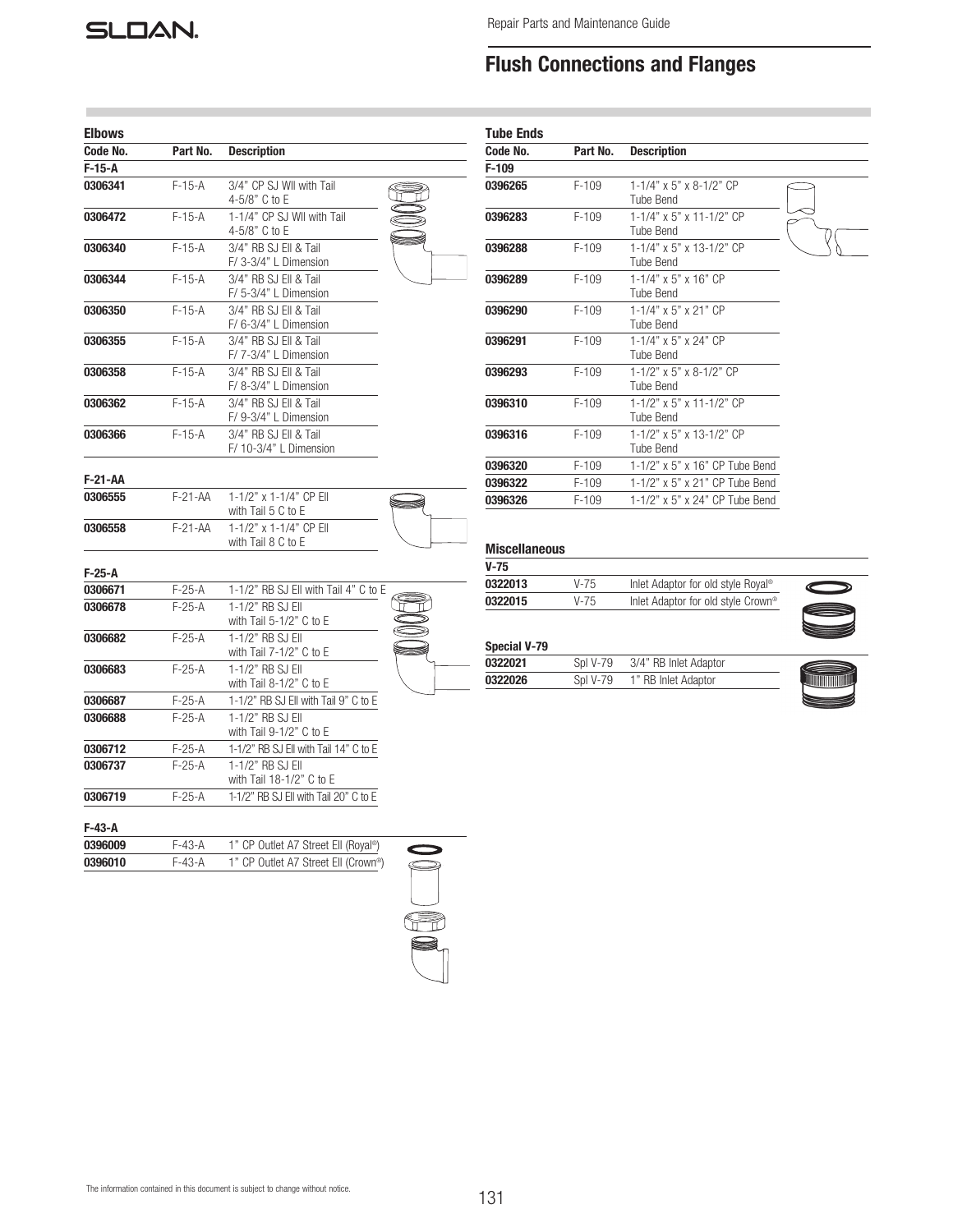# **SLOAN.**

# Flush Connections and Flanges

| <b>Elbows</b> |             |                                                 |  |
|---------------|-------------|-------------------------------------------------|--|
| Code No.      | Part No.    | <b>Description</b>                              |  |
| $F-15-A$      |             |                                                 |  |
| 0306341       | $F-15-A$    | 3/4" CP SJ WII with Tail<br>4-5/8" C to E       |  |
| 0306472       | $F-15-A$    | 1-1/4" CP SJ WII with Tail<br>4-5/8" C to E     |  |
| 0306340       | F-15-A      | 3/4" RB SJ Ell & Tail<br>F/ 3-3/4" L Dimension  |  |
| 0306344       | $F-15-A$    | 3/4" RB SJ Ell & Tail<br>F/ 5-3/4" L Dimension  |  |
| 0306350       | $F-15-A$    | 3/4" RB SJ Ell & Tail<br>F/ 6-3/4" L Dimension  |  |
| 0306355       | $F-15-A$    | 3/4" RB SJ Ell & Tail<br>F/ 7-3/4" L Dimension  |  |
| 0306358       | $F-15-A$    | 3/4" RB SJ Ell & Tail<br>F/ 8-3/4" L Dimension  |  |
| 0306362       | $F-15-A$    | 3/4" RB SJ Ell & Tail<br>F/ 9-3/4" L Dimension  |  |
| 0306366       | $F-15-A$    | 3/4" RB SJ Ell & Tail<br>F/ 10-3/4" L Dimension |  |
| F-21-AA       |             |                                                 |  |
| 0306555       | $F-21-AA$   | 1-1/2" x 1-1/4" CP Ell<br>with Tail 5 C to E    |  |
| 0306558       | $F-21 - AA$ | 1-1/2" x 1-1/4" CP Ell<br>with Tail 8 C to E    |  |
| F-25-A        |             |                                                 |  |
| 0306671       | $F-25-A$    | 1-1/2" RB SJ Ell with Tail 4" C to E            |  |
| 0306678       | $F-25-A$    | 1-1/2" RB SJ EII<br>with Tail $5-1/2"$ C to E   |  |
| 0306682       | F-25-A      | 1-1/2" RB SJ EII<br>with Tail $7-1/2"$ C to E   |  |
| 0306683       | $F-25-A$    | 1-1/2" RB SJ EII<br>with Tail $8-1/2"$ C to E   |  |
| 0306687       | F-25-A      | 1-1/2" RB SJ Ell with Tail 9" C to E            |  |
| 0306688       | $F-25-A$    | 1-1/2" RB SJ EII<br>with Tail 9-1/2" C to E     |  |
| 0306712       | F-25-A      | 1-1/2" RB SJ Ell with Tail 14" C to E           |  |
| 0306737       | $F-25-A$    | 1-1/2" RB SJ EII<br>with Tail 18-1/2" C to E    |  |
| 0306719       | $F-25-A$    | 1-1/2" RB SJ Ell with Tail 20" C to E           |  |
| F-43-A        |             |                                                 |  |

| 0396009 | F-43-A    | 1" CP Outlet A7 Street Ell (Royal <sup>®</sup> ) |  |
|---------|-----------|--------------------------------------------------|--|
| 0396010 | $F-4.3-A$ | 1" CP Outlet A7 Street Ell (Crown <sup>®</sup> ) |  |
|         |           |                                                  |  |



| <b>Tube Ends</b> |          |                                                 |  |
|------------------|----------|-------------------------------------------------|--|
| Code No.         | Part No. | <b>Description</b>                              |  |
| $F-109$          |          |                                                 |  |
| 0396265          | $F-109$  | $1-1/4$ " x 5" x 8-1/2" CP<br>Tube Bend         |  |
| 0396283          | $F-109$  | 1-1/4" x 5" x 11-1/2" CP<br>Tube Bend           |  |
| 0396288          | $F-109$  | 1-1/4" x 5" x 13-1/2" CP<br>Tube Bend           |  |
| 0396289          | $F-109$  | $1 - 1/4$ " x 5" x 16" CP<br>Tube Bend          |  |
| 0396290          | $F-109$  | 1-1/4" x 5" x 21" CP<br>Tube Bend               |  |
| 0396291          | $F-109$  | 1-1/4" x 5" x 24" CP<br><b>Tube Bend</b>        |  |
| 0396293          | $F-109$  | $1-1/2$ " x 5" x 8-1/2" CP<br><b>Tube Bend</b>  |  |
| 0396310          | $F-109$  | $1-1/2$ " x 5" x 11-1/2" CP<br><b>Tube Bend</b> |  |
| 0396316          | $F-109$  | 1-1/2" x 5" x 13-1/2" CP<br><b>Tube Bend</b>    |  |
| 0396320          | $F-109$  | $1-1/2$ " x 5" x 16" CP Tube Bend               |  |
| 0396322          | $F-109$  | 1-1/2" x 5" x 21" CP Tube Bend                  |  |
| 0396326          | $F-109$  | 1-1/2" x 5" x 24" CP Tube Bend                  |  |

### Miscellaneous

| V-75    |          |                                                |   |
|---------|----------|------------------------------------------------|---|
| 0322013 | V-75     | Inlet Adaptor for old style Royal <sup>®</sup> |   |
| 0322015 | $V - 75$ | Inlet Adaptor for old style Crown <sup>®</sup> | € |
|         |          |                                                |   |

### Special V-79

| 0322021 | SnI V-79. | 3/4" RB Inlet Adaptor |   |
|---------|-----------|-----------------------|---|
| 0322026 | SnI V-79  | 1" RB Inlet Adaptor   | M |



 $\overline{\phantom{0}}$